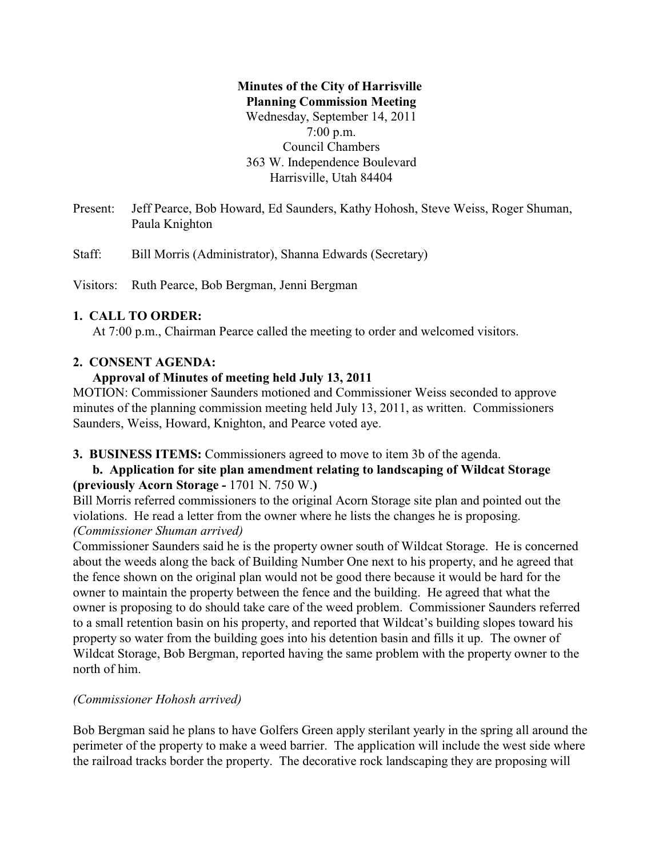# **Minutes of the City of Harrisville Planning Commission Meeting** Wednesday, September 14, 2011 7:00 p.m. Council Chambers 363 W. Independence Boulevard Harrisville, Utah 84404

Present: Jeff Pearce, Bob Howard, Ed Saunders, Kathy Hohosh, Steve Weiss, Roger Shuman, Paula Knighton

Staff: Bill Morris (Administrator), Shanna Edwards (Secretary)

Visitors: Ruth Pearce, Bob Bergman, Jenni Bergman

## **1. CALL TO ORDER:**

At 7:00 p.m., Chairman Pearce called the meeting to order and welcomed visitors.

## **2. CONSENT AGENDA:**

## **Approval of Minutes of meeting held July 13, 2011**

MOTION: Commissioner Saunders motioned and Commissioner Weiss seconded to approve minutes of the planning commission meeting held July 13, 2011, as written. Commissioners Saunders, Weiss, Howard, Knighton, and Pearce voted aye.

**3. BUSINESS ITEMS:** Commissioners agreed to move to item 3b of the agenda.

# **b. Application for site plan amendment relating to landscaping of Wildcat Storage (previously Acorn Storage -** 1701 N. 750 W.**)**

Bill Morris referred commissioners to the original Acorn Storage site plan and pointed out the violations. He read a letter from the owner where he lists the changes he is proposing. *(Commissioner Shuman arrived)*

Commissioner Saunders said he is the property owner south of Wildcat Storage. He is concerned about the weeds along the back of Building Number One next to his property, and he agreed that the fence shown on the original plan would not be good there because it would be hard for the owner to maintain the property between the fence and the building. He agreed that what the owner is proposing to do should take care of the weed problem. Commissioner Saunders referred to a small retention basin on his property, and reported that Wildcat's building slopes toward his property so water from the building goes into his detention basin and fills it up. The owner of Wildcat Storage, Bob Bergman, reported having the same problem with the property owner to the north of him.

# *(Commissioner Hohosh arrived)*

Bob Bergman said he plans to have Golfers Green apply sterilant yearly in the spring all around the perimeter of the property to make a weed barrier. The application will include the west side where the railroad tracks border the property. The decorative rock landscaping they are proposing will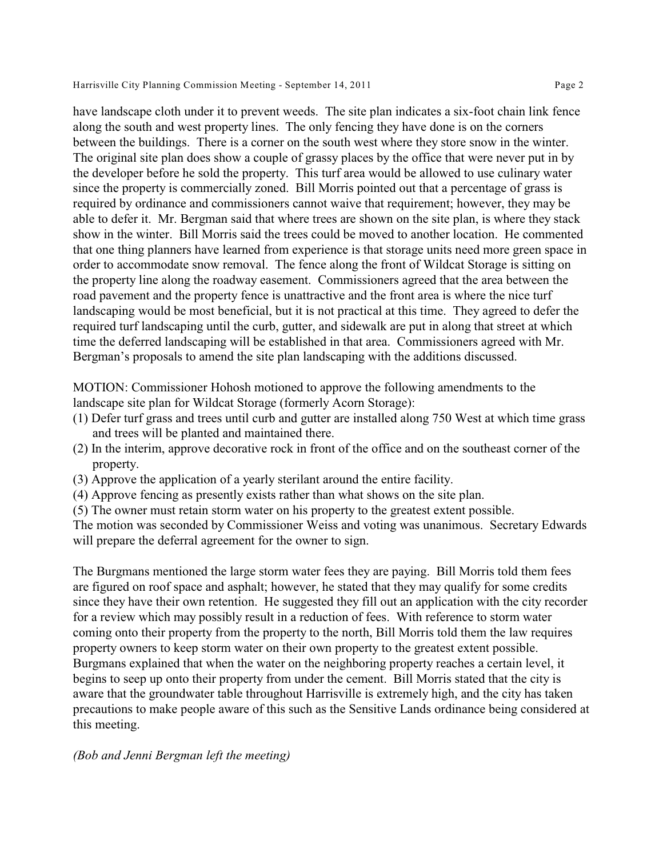have landscape cloth under it to prevent weeds. The site plan indicates a six-foot chain link fence along the south and west property lines. The only fencing they have done is on the corners between the buildings. There is a corner on the south west where they store snow in the winter. The original site plan does show a couple of grassy places by the office that were never put in by the developer before he sold the property. This turf area would be allowed to use culinary water since the property is commercially zoned. Bill Morris pointed out that a percentage of grass is required by ordinance and commissioners cannot waive that requirement; however, they may be able to defer it. Mr. Bergman said that where trees are shown on the site plan, is where they stack show in the winter. Bill Morris said the trees could be moved to another location. He commented that one thing planners have learned from experience is that storage units need more green space in order to accommodate snow removal. The fence along the front of Wildcat Storage is sitting on the property line along the roadway easement. Commissioners agreed that the area between the road pavement and the property fence is unattractive and the front area is where the nice turf landscaping would be most beneficial, but it is not practical at this time. They agreed to defer the required turf landscaping until the curb, gutter, and sidewalk are put in along that street at which time the deferred landscaping will be established in that area. Commissioners agreed with Mr. Bergman's proposals to amend the site plan landscaping with the additions discussed.

MOTION: Commissioner Hohosh motioned to approve the following amendments to the landscape site plan for Wildcat Storage (formerly Acorn Storage):

- (1) Defer turf grass and trees until curb and gutter are installed along 750 West at which time grass and trees will be planted and maintained there.
- (2) In the interim, approve decorative rock in front of the office and on the southeast corner of the property.
- (3) Approve the application of a yearly sterilant around the entire facility.
- (4) Approve fencing as presently exists rather than what shows on the site plan.
- (5) The owner must retain storm water on his property to the greatest extent possible.

The motion was seconded by Commissioner Weiss and voting was unanimous. Secretary Edwards will prepare the deferral agreement for the owner to sign.

The Burgmans mentioned the large storm water fees they are paying. Bill Morris told them fees are figured on roof space and asphalt; however, he stated that they may qualify for some credits since they have their own retention. He suggested they fill out an application with the city recorder for a review which may possibly result in a reduction of fees. With reference to storm water coming onto their property from the property to the north, Bill Morris told them the law requires property owners to keep storm water on their own property to the greatest extent possible. Burgmans explained that when the water on the neighboring property reaches a certain level, it begins to seep up onto their property from under the cement. Bill Morris stated that the city is aware that the groundwater table throughout Harrisville is extremely high, and the city has taken precautions to make people aware of this such as the Sensitive Lands ordinance being considered at this meeting.

# *(Bob and Jenni Bergman left the meeting)*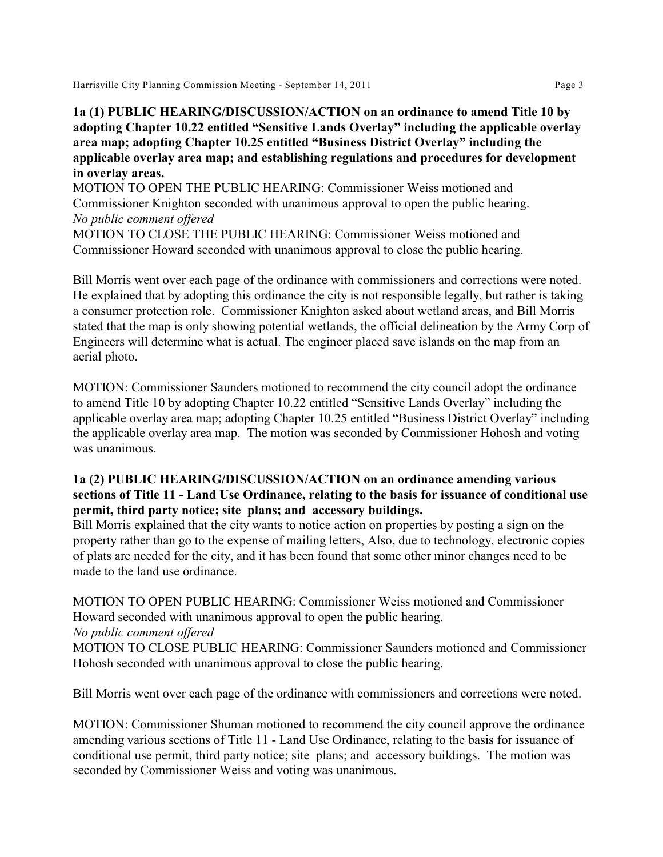## **1a (1) PUBLIC HEARING/DISCUSSION/ACTION on an ordinance to amend Title 10 by adopting Chapter 10.22 entitled "Sensitive Lands Overlay" including the applicable overlay area map; adopting Chapter 10.25 entitled "Business District Overlay" including the applicable overlay area map; and establishing regulations and procedures for development in overlay areas.**

MOTION TO OPEN THE PUBLIC HEARING: Commissioner Weiss motioned and Commissioner Knighton seconded with unanimous approval to open the public hearing. *No public comment offered*

MOTION TO CLOSE THE PUBLIC HEARING: Commissioner Weiss motioned and Commissioner Howard seconded with unanimous approval to close the public hearing.

Bill Morris went over each page of the ordinance with commissioners and corrections were noted. He explained that by adopting this ordinance the city is not responsible legally, but rather is taking a consumer protection role. Commissioner Knighton asked about wetland areas, and Bill Morris stated that the map is only showing potential wetlands, the official delineation by the Army Corp of Engineers will determine what is actual. The engineer placed save islands on the map from an aerial photo.

MOTION: Commissioner Saunders motioned to recommend the city council adopt the ordinance to amend Title 10 by adopting Chapter 10.22 entitled "Sensitive Lands Overlay" including the applicable overlay area map; adopting Chapter 10.25 entitled "Business District Overlay" including the applicable overlay area map. The motion was seconded by Commissioner Hohosh and voting was unanimous.

## **1a (2) PUBLIC HEARING/DISCUSSION/ACTION on an ordinance amending various sections of Title 11 - Land Use Ordinance, relating to the basis for issuance of conditional use permit, third party notice; site plans; and accessory buildings.**

Bill Morris explained that the city wants to notice action on properties by posting a sign on the property rather than go to the expense of mailing letters, Also, due to technology, electronic copies of plats are needed for the city, and it has been found that some other minor changes need to be made to the land use ordinance.

MOTION TO OPEN PUBLIC HEARING: Commissioner Weiss motioned and Commissioner Howard seconded with unanimous approval to open the public hearing. *No public comment offered*

MOTION TO CLOSE PUBLIC HEARING: Commissioner Saunders motioned and Commissioner Hohosh seconded with unanimous approval to close the public hearing.

Bill Morris went over each page of the ordinance with commissioners and corrections were noted.

MOTION: Commissioner Shuman motioned to recommend the city council approve the ordinance amending various sections of Title 11 - Land Use Ordinance, relating to the basis for issuance of conditional use permit, third party notice; site plans; and accessory buildings. The motion was seconded by Commissioner Weiss and voting was unanimous.